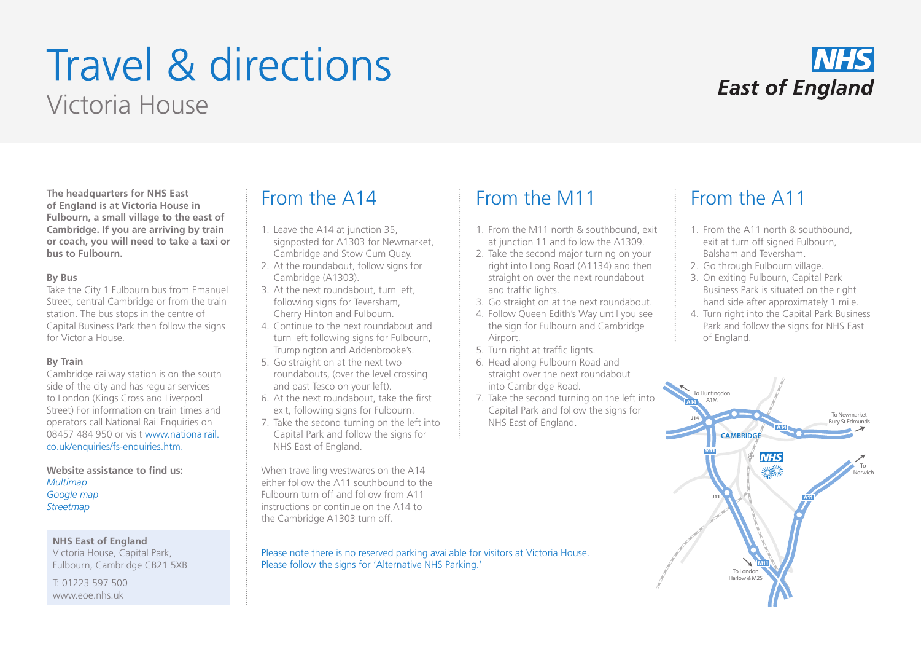# Travel & directions Victoria House



**The headquarters for NHS East of England is at Victoria House in Fulbourn, a small village to the east of Cambridge. If you are arriving by train or coach, you will need to take a taxi or bus to Fulbourn.** 

### **By Bus**

Take the City 1 Fulbourn bus from Emanuel Street, central Cambridge or from the train station. The bus stops in the centre of Capital Business Park then follow the signs for Victoria House.

## **By Train**

Cambridge railway station is on the south side of the city and has regular services to London (Kings Cross and Liverpool Street) For information on train times and operators call National Rail Enquiries on 08457 484 950 or visit www.nationalrail. co.uk/enquiries/fs-enquiries.htm.

**Website assistance to find us:** *Multimap Google map Streetmap*

**NHS East of England** Victoria House, Capital Park, Fulbourn, Cambridge CB21 5XB

T: 01223 597 500 www.eoe.nhs.uk

## From the A14 From the M11 From the A11

- 1. Leave the A14 at junction 35, signposted for A1303 for Newmarket, Cambridge and Stow Cum Quay.
- 2. At the roundabout, follow signs for Cambridge (A1303).
- 3. At the next roundabout, turn left, following signs for Teversham, Cherry Hinton and Fulbourn.
- 4. Continue to the next roundabout and turn left following signs for Fulbourn, Trumpington and Addenbrooke's.
- 5. Go straight on at the next two roundabouts, (over the level crossing and past Tesco on your left).
- 6. At the next roundabout, take the first exit, following signs for Fulbourn.
- 7. Take the second turning on the left into Capital Park and follow the signs for NHS East of England.

When travelling westwards on the A14 either follow the A11 southbound to the Fulbourn turn off and follow from A11 instructions or continue on the A14 to the Cambridge A1303 turn off.

Please note there is no reserved parking available for visitors at Victoria House. Please follow the signs for 'Alternative NHS Parking.'

- 1. From the M11 north & southbound, exit at junction 11 and follow the A1309.
- 2. Take the second major turning on your right into Long Road (A1134) and then straight on over the next roundabout and traffic lights.
- 3. Go straight on at the next roundabout.
- 4. Follow Queen Edith's Way until you see the sign for Fulbourn and Cambridge Airport.
- 5. Turn right at traffic lights.
- 6. Head along Fulbourn Road and straight over the next roundabout into Cambridge Road.
- 7. Take the second turning on the left into Capital Park and follow the signs for NHS East of England.

- 1. From the A11 north & southbound, exit at turn off signed Fulbourn, Balsham and Teversham.
- 2. Go through Fulbourn village.
- 3. On exiting Fulbourn, Capital Park Business Park is situated on the right hand side after approximately 1 mile.
- 4. Turn right into the Capital Park Business Park and follow the signs for NHS East of England.